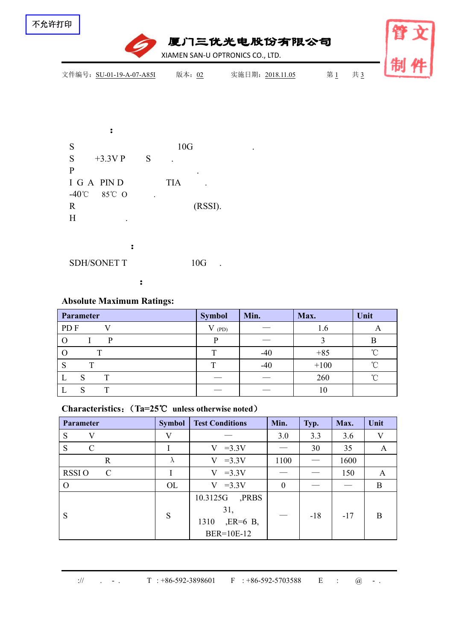

| け中                                                                | 文<br>臂                             |             |    |
|-------------------------------------------------------------------|------------------------------------|-------------|----|
| 文件编号: SU-01-19-A-07-A85I                                          | 版本: 02<br>实施日期: 2018.11.05         | 共3<br>第 $1$ | 制件 |
|                                                                   |                                    |             |    |
| $\ddot{\cdot}$                                                    |                                    |             |    |
| S                                                                 | 10G                                |             |    |
| ${\bf S}$<br>S<br>$+3.3V$ P<br>$\, {\bf P}$                       |                                    |             |    |
| I G A PIN D                                                       | $\bullet$<br><b>TIA</b><br>$\cdot$ |             |    |
| -40 $^{\circ}$ C<br>85°C O<br>$\ddot{\phantom{a}}$<br>$\mathbf R$ | (RSSI).                            |             |    |
| H                                                                 |                                    |             |    |
| $\ddot{\cdot}$                                                    |                                    |             |    |

SDH/SONET T 10G .

## **Absolute Maximum Ratings:**

| Parameter        | <b>Symbol</b> | Min.                            | Max.   | Unit   |  |
|------------------|---------------|---------------------------------|--------|--------|--|
| PD F             | (PD)          |                                 | 1. U   |        |  |
|                  | n             | $\hspace{0.1mm}-\hspace{0.1mm}$ |        |        |  |
|                  | $\mathbf{T}$  | $-40$                           | $+85$  | $\sim$ |  |
| $\sim$<br>œ<br>P | m             | $-40$                           | $+100$ | $\sim$ |  |
| $\mathbf{L}$     |               | $\overbrace{\phantom{13333}}$   | 260    | $\sim$ |  |
| ⊥                |               | $\overbrace{\hspace{25mm}}^{}$  | 10     |        |  |

:

### **Characteristics**:(**Ta=25**℃ **unless otherwise noted**)

| Parameter                     | <b>Symbol</b> | <b>Test Conditions</b>                                        | Min.           | Typ.              | Max.  | Unit |
|-------------------------------|---------------|---------------------------------------------------------------|----------------|-------------------|-------|------|
| V<br>S                        | V             |                                                               | 3.0            | 3.3               | 3.6   | V    |
| S<br>$\mathcal{C}$            |               | $V = 3.3V$                                                    |                | 30                | 35    | A    |
| $\mathbf R$                   | $\lambda$     | $V = 3.3V$                                                    | 1100           | $\hspace{0.05cm}$ | 1600  |      |
| $\mathcal{C}$<br><b>RSSIO</b> |               | $V = 3.3V$                                                    |                |                   | 150   | A    |
| $\Omega$                      | OL            | $V = 3.3V$                                                    | $\overline{0}$ |                   |       | B    |
| S                             | S             | ,PRBS<br>10.3125G<br>31,<br>$, ER=6$ B,<br>1310<br>BER=10E-12 |                | $-18$             | $-17$ | Β    |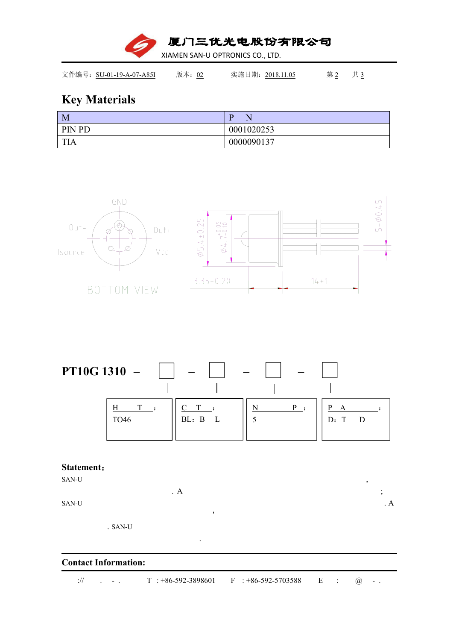厦门三优光电股份有限公司 XIAMEN SAN-U OPTRONICS CO., LTD.

文件编号: SU-01-19-A-07-A85I 版本: 02 实施日期: 2018.11.05 第 2 共 3

# **Key Materials**

| $\mathbf{M}$ | D          |
|--------------|------------|
| PIN PD       | 0001020253 |
| TIA          | 0000090137 |





#### **Statement**:

SAN-U , . A  $\vdots$ SAN-U  $\mathbf{A}$ '. SAN-U

.

### **Contact Information:**

:// . - . T : +86-592-3898601 F : +86-592-5703588 E : @ - .